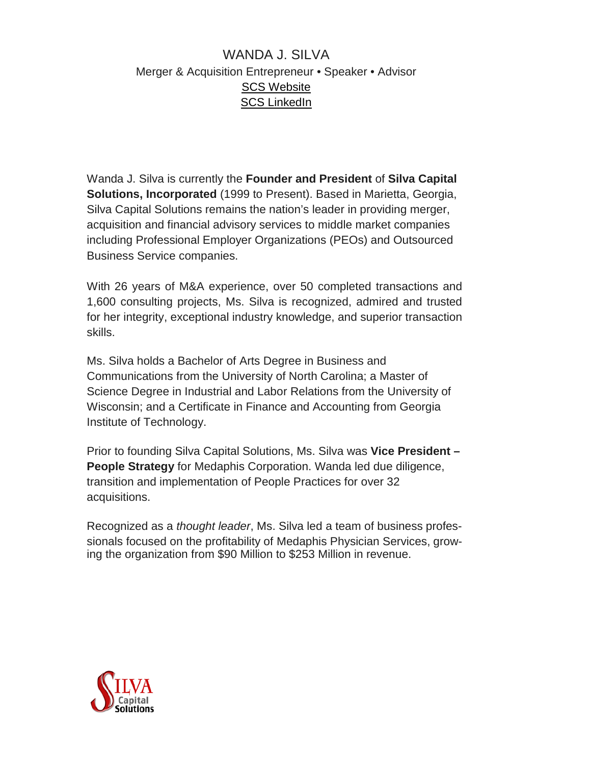## WANDA J. SILVA Merger & Acquisition Entrepreneur • Speaker • Advisor SCS [Website](http://www.silvacapital.com/pages/meet_wanda) SCS [LinkedIn](http://www.linkedin.com/in/wandasilvacapitalsolutions)

Wanda J. Silva is currently the **Founder and President** of **Silva Capital Solutions, Incorporated** (1999 to Present). Based in Marietta, Georgia, Silva Capital Solutions remains the nation's leader in providing merger, acquisition and financial advisory services to middle market companies including Professional Employer Organizations (PEOs) and Outsourced Business Service companies.

With 26 years of M&A experience, over 50 completed transactions and 1,600 consulting projects, Ms. Silva is recognized, admired and trusted for her integrity, exceptional industry knowledge, and superior transaction skills.

Ms. Silva holds a Bachelor of Arts Degree in Business and Communications from the University of North Carolina; a Master of Science Degree in Industrial and Labor Relations from the University of Wisconsin; and a Certificate in Finance and Accounting from Georgia Institute of Technology.

Prior to founding Silva Capital Solutions, Ms. Silva was **Vice President – People Strategy** for Medaphis Corporation. Wanda led due diligence, transition and implementation of People Practices for over 32 acquisitions.

Recognized as a *thought leader*, Ms. Silva led a team of business professionals focused on the profitability of Medaphis Physician Services, growing the organization from \$90 Million to \$253 Million in revenue.